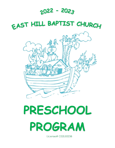## **2022 - 2023**

## EAST HILL BAPTIST CHURCH



# **PRESCHOOL PROGRAM**

License# C02LE0238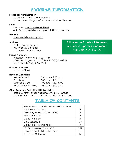## **PROGRAM INFORMATION**

#### **Preschool Administration**

Laura Verges, *Preschool Principal* Sharon Linton, *Program Coordinator & Music Teacher*

#### **Email**

Preschool: preschool@easthill.net Main Office: [easthillweekday@easthillweekday.com](mailto:easthillweekday@easthillweekday.com) 

#### **Website**

[www.easthillweekday.com](http://www.easthillweekday.com/)

#### **Address**

East Hill Baptist Preschool 912 Miccosukee Road Tallahassee, Florida 32308 **Follow us on Facebook for news, reminders, updates, and more! Follow** @EastHillWCM

#### **Phone Numbers**

Preschool Phone #: (850)224-4834 Weekday Programs Main Office #: (850)224-9918 Main Church #: (850)224-9911

#### **Days of Operation**

Monday-Friday

#### **Hours of Operation**

| Before School           | $7:30$ a.m. $-9:00$ a.m. |
|-------------------------|--------------------------|
| Preschool               | $9:00$ a.m. $-1:00$ p.m. |
| <b>Extended Care</b>    | $1:00$ p.m. $-3:00$ p.m. |
| After School (VPK Only) | $1:00$ p.m. $-6:00$ p.m. |

#### **Other Programs Part of East Hill Weekday**

Before & After School Program serving K-8th Grade Summer Day Camp serving completed VPK-8th Grade

## **TABLE OF CONTENTS**

| 2         |
|-----------|
| 3         |
| 4         |
| 5         |
| $6 - 7$   |
| 7         |
| $8 - 10$  |
| $11 - 15$ |
| 16        |
|           |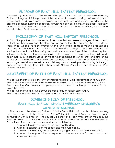### **PURPOSE OF EAST HILL BAPTIST PRESCHOOL**

The weekday preschool is a ministry of East Hill Baptist Church and part of the East Hill Weekday Children's Program. It is the purpose of the preschool to provide a loving, caring environment where each child has a sense of belonging and feels safe and secure. In addition, the preschool is concerned with effectively stimulating each child's growth physically, spiritually, emotionally, cognitively, and socially. In each room, as in the school as a whole, the preschool seeks to reflect God's love (John 3:16).

#### **PHILOSOPHY OF EAST HILL BAPTIST PRESCHOOL**

At East Hill Baptist Preschool we treat children as individuals. We encourage children to learn to think for themselves and therefore do not do for the children what they can do for themselves. We seek to follow through when asking for a response or making a request of a child and we teach each child to finish a task he or she has begun. Teachers are consistent in using the school's discipline policy and positive when correcting children by directing them in the proper behavior. The goal in discipline is to focus on the behavior, not the child's worth as an individual. Teachers use a soft voice when speaking to our children and aim for less talking and more listening. We avoid using symbolism when speaking of spiritual things. We encourage creativity as we help every child to grow and develop understanding in the eight concept areas of God, Jesus, Self, Others, Family, Natural World, Bible, and Church (Luke 18:15- 17; Psalm 78:5-7; Mark 9:36-37).

## **STATEMENT OF FAITH OF EAST HILL BAPTIST PRESCHOOL**

We believe that the Bible is the divinely inspired record of God's self-revelation to humanity. We believe that the eternal God is one and is revealed to us as Father, Son and Holy Spirit. We believe that God has most completely revealed himself to us through his incarnation as Jesus the Christ.

We believe that we are saved by God's grace through faith in Jesus Christ. We believe that the church is the representation of Christ in the world.

## **GOVERNING BODY OF PRESCHOOL EAST HILL BAPTIST CHURCH WEEKDAY CHILDREN'S MINISTRY COUNCIL**

The purpose of the Weekday Children's Ministry Council is to assist the church by supervising the management of the Preschool, Before/After School, and Summer Day Camp in consultation with its directors. The council will consist of at least three church members, the weekday directors, a ministerial staff liaison, and a representative from the Stewardship Committee. The council will be responsible for the following:

- 1. Assist with the development of the preschool budget.
- 2. Assist as liaison between the school and the church body.
- 3. Coordinate the ministry with the other ongoing ministries and life of the church.
- 4. Assume other responsibilities as requested by the ministerial staff, church body, and weekday directors.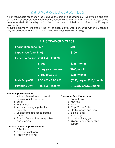## 2 & 3 YEAR-OLD CLASS FEES

A non-refundable registration fee is due at the time of acceptance. A supply fee is also due at the time of acceptance. Each monthly tuition will be the same amount regardless of the days attended. All monthly tuition fees have been totaled and divided into 10 equal payments.

All tuition payments are due by the 10<sup>th</sup> of each month. Daily Early Drop-Off and Extended Day will be added to the next month's bill. *(refer to pg. 4 for Payment Policy*)

| 2 & 3 YEAR-OLD CLASS                |                        |                           |
|-------------------------------------|------------------------|---------------------------|
| <b>Registration (one time)</b>      |                        | <b>S100</b>               |
| <b>Supply Fee (one fime)</b>        |                        | <b>\$100</b>              |
| Preschool Tuition 9:00 AM - 1:00 PM |                        |                           |
|                                     | 5-day                  | \$325/month               |
|                                     | 3-day (Mon, Tues, Wed) | \$245/month               |
|                                     | 2-day (Thurs & Fri)    | \$215/month               |
| <b>Early Drop-Off</b>               | $7:30$ AM $-$ 9:00 AM  | \$7.50/day or \$115/month |
| <b>Extended Day</b>                 | $1:00$ PM $-$ 3:00 PM  | \$10/day or \$150/month   |

#### **School Supplies Include:**

- 1. Art supplies-various colors and types of paint and paper
- 2. Easels
- 3. Play Dough
- 4. Various cooking supplies for projects
- 5. Science projects-seeds, potting soil, etc.…
- 6. Special Events- classroom parties and programs

#### **Custodial School Supplies Include:**

- 1. Toilet tissue
- 2. Anti-bacterial soap
- 3. Paper hand towels

#### **Classroom Supplies Include:**

- 1. Paper towels
- 2. Kleenex
- 3. Wipes
- 4. Cups/Paper Plates
- 5. Plastic spoons and forks
- 6. Zip lock bags
- 7. Trash bags
- 8. Hand sanitizing gel
- 9. Cleaning and disinfecting supplies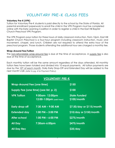## **VOLUNTARY PRE-K CLASS FEES**

#### **Voluntary Pre-K (VPK)**

Tuition for Voluntary Pre-K students is paid directly to the school by the State of Florida. All parental enrollment paperwork to enroll the child in the VPK Program must be completed online with the Early Learning Coalition in order to register a child in the East Hill Baptist Church Preschool VPK Program.

The VPK Program pays tuition for three hours of daily classroom instruction, 9am-12pm. East Hill Baptist Church Preschool is a four-hour program including classroom instruction, music and movement, chapel, and lunch. Children are not required to attend the extra hour of the preschool program. Those students attending the additional hour are charged a monthly fee.

#### **Wrap-Around Fee/Tuition**

The non-refundable wrap-around fee is due at the time of acceptance. A supply fee is also due at the time of acceptance.

Each monthly tuition will be the same amount regardless of the days attended. All monthly tuition fees have been totaled and divided into 10 equal payments. All tuition payments are due by the 10<sup>th</sup> of each month. Daily Early Drop-Off and Extended Day will be added to the next month's bill. *(refer to pg. 4 for Payment Policy*)

| <b>VOLUNTARY PRE-K</b>            |                                             |                                    |  |
|-----------------------------------|---------------------------------------------|------------------------------------|--|
| <b>Wrap-Around Fee (one time)</b> |                                             | <b>\$150</b>                       |  |
|                                   | Supply Fee (one time) (see list, p. 2)      | \$100                              |  |
| <b>VPK Tuition</b>                | 9:00am-12:00pm<br>12:00-1:00pm (add'l hour) | <b>State Funded</b><br>\$100/month |  |
| <b>Early drop-off</b>             | $7:30$ AM – 9:00 AM                         | \$7.50/day or \$115/month          |  |
| <b>Extended day</b>               | $1:00$ PM $- 3:00$ PM                       | \$10/day or \$150/month            |  |
| After school                      | $1:00$ PM $-$ 6:00 PM                       | \$275/month                        |  |
| <b>All Day</b>                    | 7:30am-6:00pm                               | \$475/month                        |  |
| <b>All Day Rec</b>                |                                             | \$35/day                           |  |

 $\mathbf{c}$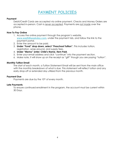## **PAYMENT POLICIES**

#### **Payment**

Debit/Credit Cards are accepted via online payment. Checks and Money Orders are accepted in-person. Cash is *never accepted*. Payments are *not made* over the phone.

#### **How To Pay Online**

- 1. Access the online payment through the program's website, **[www.easthillweekday.com](http://www.easthillweekday.com/)**, under the payment tab, and follow the link to the payment portal.
- 2. Enter the amount to be paid.
- 3. **Under "Fund" drop down, select "Preschool Tuition".** This includes tuition, registration, wrap-around, and supply fees.
- 4. **Under "Memo" enter: Child's Name, Item Paid**.
- 5. Enter your email address and click "continue" into the payment section.
- 6. Make note, it will show up on the receipt as "gift" though you are paying "tuition".

#### **Monthly Tuition Email**

The start of each month, a Tuition Statement Email will be sent from the main office with the monthly breakdown of what is due. This statement will reflect tuition and any early drop-off or extended day utilized from the previous month.

#### **Payment Due**

Payments are due by the 10<sup>th</sup> of every month.

#### **Late Payments**

To ensure continued enrollment in the program, the account must be current within 30 Days.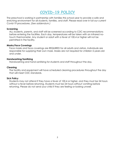## **COVID-19 POLICY**

The preschool is working in partnership with families this school year to provide a safe and enriching environment for all students, families, and staff. Please read over in full our current Covid-19 procedures. *(See addendum.)*

#### **Screening**

ALL students, parents, and staff will be screened according to CDC recommendations before entering the facilities. Each day, temperatures will be taken with an infrared notouch thermometer. Any student or adult with a fever of 100.4 or higher will not be permitted in the facility.

#### **Masks/Face Coverings**

Face masks and face coverings are REQUIRED for all adults and visitors. Individuals are responsible for supplying their own mask. Masks are not required for children 5-years-old and under.

#### **Handwashing/Sanitizing**

Handwashing and hand sanitizing for students and staff throughout the day.

#### **Cleaning**

The facility and equipment will have scheduled cleaning procedures throughout the day that will meet CDC standards.

#### **Sick Policy**

Students may not attend if they have a fever of 100.4 or higher, and they must be 24 hours without a fever before returning. Students must be 24 hours without vomiting before returning. Please do not send your child if they are feeling or looking unwell.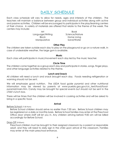## **DAILY SCHEDULE**

Each class schedule will vary to allow for needs, ages and interests of the children. The teachers will maintain a balance between group and individual activities along with active and passive activities. Children will be encouraged to participate in the play/learning centers of their choice. A variety of materials are offered that relate to the theme of the week. The centers may include:

> Art Language/Writing Block Manipulative

Book Science/Nature Home Living Sand/Water

#### **Other Play**

The children are taken outside each day to play on the playground or go on a nature walk. In case of undesirable weather, the large gym is available.

**Music** 

Each class will participate in music/movement each day led by the music teacher.

#### **Circle Time**

The children come together as a group each day and participate in stories, songs, finger plays, and other language activities related to the theme.

#### **Lunch and Snack**

All children will need a lunch and snack brought each day. Foods needing refrigeration or warming should not be sent.

We will emphasize good nutrition. The USDA food guide pyramid and other nutritional information may be viewed by parents at www.pueblo.gsa.gov/cic\_text/food/foodpyramid/main.htm. Candy may be brought for special events but should not be sent in the child's lunch box.

There will be times that the children will be involved in cooking activities and will be asked to bring in a specific food.

#### **Arrival**

Before School (7:30-9am)

Before School children should arrive no earlier than 7:30 am. Before School children may be registered on a daily or monthly basis. Before School families may enter at the Preschool Office door where staff will let you in. Any children arriving before 9:00 am will be billed accordingly for Before School.

Drop-Off (9:00am)

Preschool children must be brought to their assigned classroom by a parent or responsible adult, and they will need to daily sign in the child upon arrival at the classroom. Families may enter at the main preschool entrance.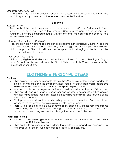#### Late Drop-Off (after 9:15am)

After 9:15am the main preschool entrance will be closed and locked. Families arriving late or picking up early may enter by the secured preschool office door.

#### **Departure**

#### Pick-Up (1:00pm)

Preschool children are to be picked up at their classroom at 1:00 p.m. Children not picked up by 1:10 p.m. will be taken to the Extended Care and the parent billed accordingly. Children will not be permitted to leave with anyone other than parents and persons listed on the enrollment form.

#### Extended Care Pick-Up (1:10-3:00pm)

Preschool children in extended care can be picked up in the preschool. There will be signs posted to indicate if the children are inside, at the playground or in the gymnasium during this pick-up time. The child will need to be signed out, belongings collected, and be picked up in the posted area.

#### After School (3:00-6:00pm)

This is only eligible for students enrolled in the VPK classes. Children attending All Day or After School can be picked up in the Tindal Christian Activity Center across from the preschool after 3:00pm.

## **CLOTHING & PERSONAL ITEMS**

#### **Clothing**

- Children need to wear comfortable play clothes. We believe children need freedom to explore art materials and the outdoors without fear of negative parental response due to soiled clothing. Please send children in inexpensive play clothes.
- Sweaters, coats, hats, rain gear and mittens should be marked with your child's name.
- Children will need a change of underwear and weather appropriate clothes labeled with their name in a zip lock bag. These clothes will be kept all year and returned at the end of the school year.
- Flip flops, jelly shoes, dress shoes, and cowboy boots are not permitted. Soft soled closed toe shoes are the best for active playground play and climbing.
- There will be special dress up days announced by each class. Please remember some children may not be comfortable dressing up; rather than insisting, please send their clothes in a labeled bag in case they change their mind later in the day.

#### **Things Not To Bring**

- We ask that children bring only those items teachers request. Often when a child brings a toy to school it is lost or broken.
- Children should not bring or wear anything that could be damaged, lost, or cause injury to themselves or others, such as watches, bracelets, earrings, etc.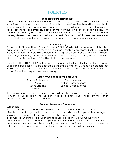## **POLICIES**

#### **Teacher/Parent Relationship**

Teachers plan and implement methods for establishing positive relationships with parents including daily contact as well as specific events and meetings. Teachers will send electronic weekly newsletters and paper copies are made available. All teachers evaluate the spiritual, social, emotional, and intellectual level of the individual child on an ongoing basis. VPK students are formally assessed three times yearly. Parent/Teacher conferences to address kindergarten readiness are scheduled upon request. Teachers may initiate extra conferences as needed throughout the school year with the input of the program administration.

#### **Discipline Policy**

According to State of Florida Statue Section 402.305(12), all child care personnel of the child care facility must comply with the facility's written disciplinary practices. Such policies shall include standards that prohibit children from being subjected to discipline which is severe, humiliating, frightening, or associated with food, rest, or toileting. Spanking or any other form of physical punishment is prohibited by all child care personnel.

Discipline at East Hill Baptist Preschool means guidance in the form of helping children change undesirable behavior into more acceptable, satisfying behavior. Guidance is a process that is slow and time consuming. What is successful with one child may not be with another, so many different techniques may be necessary.

#### **Different Guidance Techniques Used**

| <b>Positive Statements</b> | Encouragement               |
|----------------------------|-----------------------------|
| Praise                     | <b>Natural Consequences</b> |
| Active Listening           | Logical Consequences        |
| <b>Redirection</b>         |                             |

If the above methods are not successful a child may be removed for a brief period of time from the group or activity he/she is involved in. If a time out is necessary more than occasionally, parents will be contacted.

#### **Program Suspension Procedures**

#### Suspension

Students may be suspended or even dismissed from the program due to classroom disruption, lack of anger control, harmful behavior toward others, inappropriate language, sporadic attendance, or failure to pay tuition. First, second, and third incidents will be documented in writing by the supervising teacher. The teacher will submit this written documentation of the incident to the principal for placement in the child's file. After three documented instances both the supervising teacher and principal will arrange a conference with parents to create an improvement plan to be implemented in the classroom.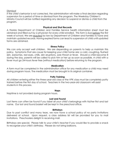Dismissal

If the child's behavior is not corrected, the administration will make a final decision regarding suspension for a period of time or dismissal from the program. The Weekday Children's Ministry Council will be notified regarding any decision to suspend or dismiss a child from the program.

#### **Physical and Shot Records**

A Florida Department of Children and Families Service health information sheet must be obtained and filled out by a physician for every child enrolled. This form is due before the first week of school. We are *required* by law by Department of Children and Families to have and maintain updated records. Having expired forms can lead to suspension of child until updated forms are obtained.

#### **Illness Policy**

We can only accept well children. We are depending on parents to help us maintain this policy. Symptoms that are cause for keeping your child home are: a cold, coughing, flushed skin, earaches, red eyes, chills, skin eruptions, sore throat or fever. Should a child become ill during the day, parents will be called to pick him or her up as soon as possible. A child with a fever must go 24-hours fever free (without medication) before returning to the program.

#### **Medication**

A form must be completed in the administration office for any medication a child may need during program hours. The medication must be brought in its original container.

#### **Potty Training**

All children entering either the three-year-old class or the VPK class must be completely potty trained before the first day of school. Teachers in the two-year-old classroom will assist students in this process.

#### **Naps**

Naptime is not provided during program hours.

#### **Lost and Found**

Lost items can often be found if you label all your child's belongings with his/her first and last name. Our lost and found basket will be kept in the preschool office.

#### **Birthdays**

Due to past conflict and many tears, we now have a school policy of no party invitations delivered at school. Upon request, a class address list will be provided for you to mail invitations. Preschoolers delight in receiving mail.

Birthdays are special. Please talk to your child's teacher if you would like to provide a snack to recognize your child's birthday. Please do not bring balloons.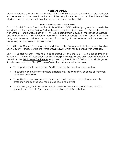#### **Accident or Injury**

Our teachers are CPR and first aid trained. In the event of accidents or injury, first aid measures will be taken, and the parent contacted. If the injury is very minor, an accident form will be filled out and the parents will be informed when picking up their child.

#### **State Licensure and Certification**

East Hill Baptist Church Preschool is a State of Florida VPK certified program that meets the standards set forth in the Florida Partnership Act for School Readiness. The School Readiness Act, State of Florida Statue Section 411.01, was passed unanimously by the Florida Legislature, and signed into law by Governor Jeb Bush. The Act recognizes that School Readiness programs increase children's chances of achieving future educational success and becoming productive members of society.

East Hill Baptist Church Preschool is licensed through the Department of Children and Families, Leon County, Florida, Certificate Number **C02LE0238**, which renews annually in October.

East Hill Baptist Church Preschool is recognized by the State of Florida Department of Education. The East Hill Baptist Church Preschool program goals and curriculum information is based on the **WEE Learn Curriculum**, approved by the State of Florida as a Kindergarten Readiness prospectus. The **WEE Learn Curriculum** adheres to the following:

- To be partners with parents and God in meeting the needs of preschoolers.
- To establish an environment where children grow freely as they become all they can be as God intended.
- To facilitate many experiences where a child will feel love, acceptance, security, protection, independence, faith, guidance, and control.
- To encourage growth in the four developmental areas: social-emotional, physical, spiritual, and mental. Each developmental area is defined below.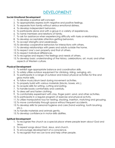## **DEVELOPMENT**

#### **Social-Emotional Development**

- 1. To develop a positive self-concept.
- 2. To appropriately express both negative and positive feelings.
- 3. To separate from family without serious emotional distress.
- 4. To develop independent behaviors.
- 5. To participate alone and with a group in a variety of experiences.
- 6. To name members and relations of family.
- 7. To ask for assistance when experiencing difficulty with tasks or relationships.
- 8. To develop acceptable attention-getting behaviors.
- 9. To accept strengths and weaknesses.
- 10. To develop cooperative behaviors for interactions with others.
- 11. To develop relationships with peers and adults outside the home.
- 12. To respect one's own property and that of others.
- 13. To respect individual differences.
- 14. To recognize and respect the feelings and needs of others.
- 15. To develop basic understanding of the history, celebrations, art, music and other aspects of Western culture.

#### **Physical Development**

- 1. To exhibit age-appropriate balance and coordination skills.
- 2. To safely utilize outdoor equipment for climbing, riding, swinging, etc.
- 3. To participate in a range of outdoor and indoor physical activities for fine and gross motor skills.
- 4. To follow music/drum beat during movement activities.
- 5. To properly build with various materials (blocks, boxes, etc.).
- 6. To acquire skills for writing, cutting and eating.
- 7. To handle books comfortably and carefully.
- 8. To dress self and fasten clothing.
- 9. To comfortably experiment with clay, finger paint, sand, and other activities.
- 10. To participate in a regular program of exercise and physical activity.
- 11. To utilize manipulative toys for nesting, stacking, insertion, matching and grouping.
- 12. To move comfortably through space without frequent accidents.
- 13. To develop skills for personal hygiene and care (hand washing, tooth brushing, etc.).
- 14. To handle materials and animals gently.
- 15. To develop confidence in motor-skills abilities.

#### **Spiritual Development**

- 1. To recognize the church as a special place where people learn about God and Jesus.
- 2. To repeat songs about God, Jesus, and church.
- 3. To encourage development of a conscience.
- 4. To recognize that we can love and help other people.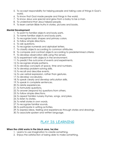- 5. To accept responsibility for helping people and taking care of things in God's world.
- 6. To know that God made people and things in the world.
- 7. To know Jesus was special and grew from a baby to be a man.
- 8. To understand that Jesus helped people.
- 9. To learn certain Bible truths in stories, pictures and books.

#### **Mental Development**

- 1. To point to familiar objects and body parts.
- 2. To name familiar objects and body parts.
- 3. To recognize basic shapes and primary colors.
- 4. To follow simple directions.
- 5. To ask questions.
- 6. To recognize numerals and alphabet letters.
- 7. To classify objects according to common attributes.
- 8. To compare and contrast objects according to predetermined criteria.
- 9. To develop observation skills using the senses.
- 10. To experiment with objects in the environment.
- 11. To predict the outcome of events and experiments.
- 12. To recognize simple patterns.
- 13. To develop concepts of space, time and numbers.
- 14. To develop problem-solving skills.
- 15. To recall and describe events.
- 16. To use verbal expression, rather than gestures.
- 17. To develop vocabulary.
- 18. To speak clearly and develop articulation skills.
- 19. To speak in complete sentences.
- 20. To relate experiences.
- 21. To formulate questions.
- 22. To answer (respond to) questions from others.
- 23. To follow simple directions.
- 24. To repeat familiar nursery rhymes, songs, and jokes.
- 25. To listen to stories.
- 26. To retell stories in own words.
- 27. To recognize familiar sounds.
- 28. To participate in writing activities.
- 29. To express ideas, feeling and experiences through stories and drawings.
- 30. To associate spoken and written language.

## PLAY IS LEARNING

#### **When the child works in the block area, he/she:**

- 1. Learns to use imagination to create something.
- 2. Enjoys the satisfaction of being able to make something.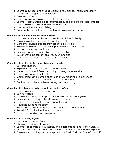- 3. Learns about sizes and shapes, weights and balances, height and depth, smoothness, roughness and volume.
- 4. Exercises his/her body.
- 5. Learns to work and play cooperatively with others.
- 6. Learns to communicate ideas through language and create representations.
- 7. Learns to solve problems and make decisions.
- 8. Creates patterns when building.
- 9. Represents personal experience through role play and pretending.

#### **When the child works in the art area, he/she:**

- 1. Is more concerned with the process than with the finished product.
- 2. Uses imagination and learns to transfer ideas to paper.
- 3. Gets emotional satisfaction from creative expression.
- 4. Exercise small muscles and develops coordination in this area.
- 5. Makes choices and decisions.
- 6. Increases language ability by discussing creation.
- 7. Uses material like scissors, glue, tape, and staples.
- 8. Learns about shapes, sizes, colors and textures.

#### **When the child plays in the home living area, he/she:**

- 1. Uses imagination.
- 2. Explores roles of mothers, fathers, and children.
- 3. Understands what it feels like to play at being someone else.
- 4. Learns to cooperate with others.
- 5. Communicates with others about personally meaningful experiences.
- 6. Imitates and describes sounds from the environment.
- 7. Pantomimes actions such as cooking and vacuuming.

#### **When the child listens to stories or looks at books, he/she:**

- 1. Learns to enjoy books and reading.
- 2. Learns to listen.
- 3. Develops valuable concepts of print and other pre-reading skills.
- 4. Increases vocabulary by hearing new words read.
- 5. Learns about different concepts, people, and places.
- 6. Visualizes things heard about.
- 7. Begins telling stories from picture and book in an order sequence.
- 8. Recalls information that is seen and heard.
- 9. Sees adults reading and enjoying stories.

#### **When the child cooks, he/she:**

- 1. Learns to follow directions.
- 2. Stimulates and uses all five senses.
- 3. Learns to recognize colors, shapes, and different foods and kitchen utensils.
- 4. Improves small muscle coordination while using kitchen tools and equipment.
- 5. Develops vocabulary and concepts such as "half", "whole" "some" and "all".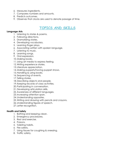- 6. Measures ingredients.
- 7. Compares numbers and amounts.
- 8. Predicts outcomes.
- 9. Observes that clocks are used to denote passage of time.

## **TOPICS AND SKILLS**

#### **Language Arts**

- 1. Listening to stories & poems.
- 2. Following directions.
- 3. Dramatizing stories.
- 4. Developing vocabulary.
- 5. Learning finger plays.
- 6. Associating written with spoken language.
- 7. Listening to music.
- 8. Learning songs.
- 9. Oral expression.
- 10.Making books.
- 11.Using art media to express feeling.
- 12.Writing experience stories.
- 13. Literature appreciation.
- 14.Making puppets/having puppet shows.
- 15.Handling & using books.
- 16.Sequencing of events.
- 17. Telling stories.
- 18.Describing objects and people.
- 19.Keeping records of class activities.
- 20.Participating in conversation.
- 21.Developing articulation skills.
- 22.Awareness of different languages.
- 23.Increasing attention span.
- 24.Understanding opposites.
- 25.Writing and drawing with pencils and crayons.
- 26.Understanding figures of speech.
- 27. Letter recognition.

#### **Health and Safety**

- 1. Bathing and keeping clean.
- 2. Emergency procedures.
- 3. Rest and exercise.
- 4. Poisons.
- 5. Toileting habits.
- 6. Fire safety.
- 7. Using tissues for coughing & sneezing.
- 8. Traffic safety.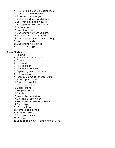- 9. Roles of police and fire personnel.
- 10.Care of teeth and gums.
- 11.Safety around strangers.
- 12.Visiting the doctor and dentist.
- 13.Safety in cars and on buses.
- 14. Food preparation and safety.
- 15.Water safety.
- 16.Basic food groups.
- 17.Understanding warning signs.
- 18.Nutritious meals and snacks.
- 19. Farm and home equipment safety.
- 20.Illness and medicines.
- 21.Understanding feelings.
- 22.Growth and aging.

#### **Social Studies**

- 1. Feelings.
- 2. Sharing and cooperation.
- 3. Families.
- 4. Transportation.
- 5. Pets (care of).
- 6. Community Helpers.
- 7. Expressing needs and wants.
- 8. Art appreciation.
- 9. Individual physical characteristics.
- 10.Music appreciation.
- 11.Drama appreciation.
- 12. Likes and dislikes.
- 13.Celebrations.
- 14.People's names.
- 15.Death.
- 16.Respecting individuals.
- 17.Clothing people wear.
- 18.Respecting individual differences.
- 19. Friendships.
- 20.Map making.
- 21.Homes people live in.
- 22. Following rules.
- 23. Food people eat.
- 24.Manners.
- 25. Jobs people have & different tools used.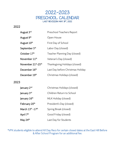

#### 2022

| August 3rd                                  | Preschool Teachers Report         |
|---------------------------------------------|-----------------------------------|
| August 9th                                  | Open House                        |
| August 10 <sup>th</sup>                     | First Day of School               |
| September 5 <sup>th</sup>                   | Labor Day (closed)                |
| October 17th                                | Teacher Planning Day (closed)     |
| November 11 <sup>th</sup>                   | Veteran's Day (closed)            |
| November 21 <sup>st</sup> -25 <sup>th</sup> | Thanksgiving Holidays (closed)    |
| December 16 <sup>th</sup>                   | Last Day before Christmas Holiday |
| December 19th                               | Christmas Holidays (closed)       |

#### 2023

| January 2 <sup>nd</sup>                  | Christmas Holidays (closed) |
|------------------------------------------|-----------------------------|
| January 3 <sup>rd</sup>                  | Children Return to School   |
| January 16 <sup>th</sup>                 | MLK Holiday (closed)        |
| February 20 <sup>th</sup>                | President's Day (closed)    |
| March 13 <sup>th</sup> -17 <sup>th</sup> | Spring Break (closed)       |
| April 7 <sup>th</sup>                    | Good Friday (closed)        |
| May 24 <sup>th</sup>                     | Last Day for Students       |

\*VPK students eligible to attend All Day Recs for certain closed dates at the East Hill Before & After School Program for an additional fee.